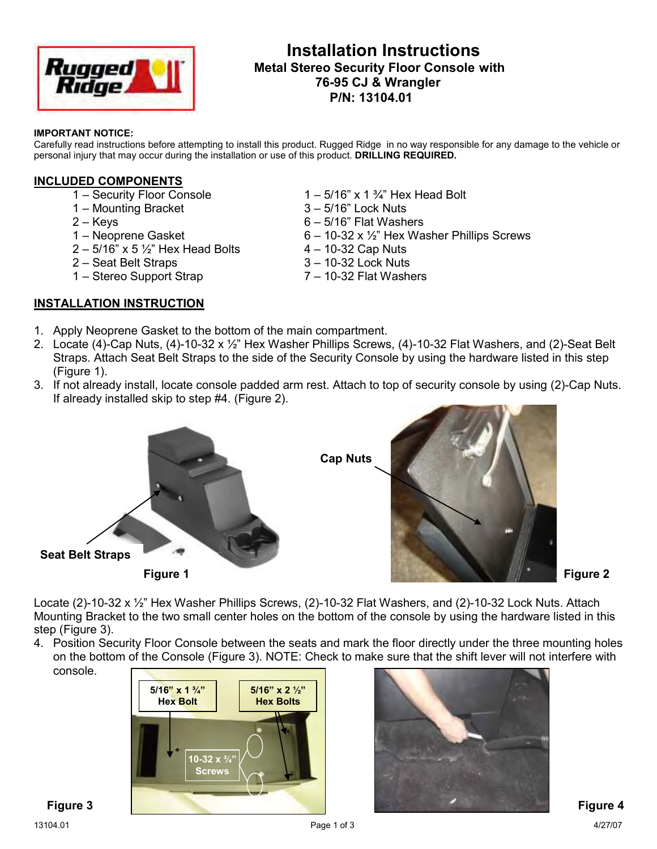

# **Installation Instructions Metal Stereo Security Floor Console with 76-95 CJ & Wrangler P/N: 13104.01**

#### **IMPORTANT NOTICE:**

Carefully read instructions before attempting to install this product. Rugged Ridge in no way responsible for any damage to the vehicle or personal injury that may occur during the installation or use of this product. **DRILLING REQUIRED.** 

#### **INCLUDED COMPONENTS**

- 
- 1 Mounting Bracket
- 
- 
- $2 5/16"$  x 5  $\frac{1}{2}$ " Hex Head Bolts  $4 10-32$  Cap Nuts
- 
- 

#### **INSTALLATION INSTRUCTION**

- 1 Security Floor Console  $1 5/16$ " x 1 ¾" Hex Head Bolt 1 Mounting Bracket  $3 5/16$ " Lock Nuts
	-
- $2 Kevs$  6 5/16" Flat Washers
- 1 Neoprene Gasket  $6 10-32 \times \frac{1}{2}$  Hex Washer Phillips Screws
	-
- 2 Seat Belt Straps 3 10-32 Lock Nuts
- 1 Stereo Support Strap 7 10-32 Flat Washers
- 1. Apply Neoprene Gasket to the bottom of the main compartment.
- 2. Locate (4)-Cap Nuts, (4)-10-32 x ½" Hex Washer Phillips Screws, (4)-10-32 Flat Washers, and (2)-Seat Belt Straps. Attach Seat Belt Straps to the side of the Security Console by using the hardware listed in this step (Figure 1).
- 3. If not already install, locate console padded arm rest. Attach to top of security console by using (2)-Cap Nuts. If already installed skip to step #4. (Figure 2).





 **Figure 2**

Locate (2)-10-32 x 1/<sub>2</sub>" Hex Washer Phillips Screws, (2)-10-32 Flat Washers, and (2)-10-32 Lock Nuts. Attach Mounting Bracket to the two small center holes on the bottom of the console by using the hardware listed in this step (Figure 3).

4. Position Security Floor Console between the seats and mark the floor directly under the three mounting holes on the bottom of the Console (Figure 3). NOTE: Check to make sure that the shift lever will not interfere with console.



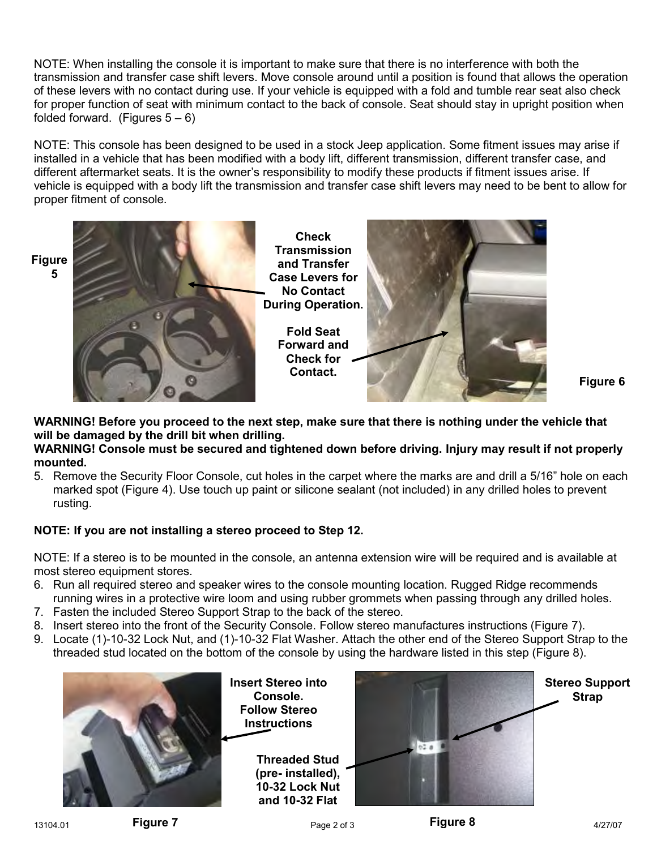NOTE: When installing the console it is important to make sure that there is no interference with both the transmission and transfer case shift levers. Move console around until a position is found that allows the operation of these levers with no contact during use. If your vehicle is equipped with a fold and tumble rear seat also check for proper function of seat with minimum contact to the back of console. Seat should stay in upright position when folded forward. (Figures  $5-6$ )

NOTE: This console has been designed to be used in a stock Jeep application. Some fitment issues may arise if installed in a vehicle that has been modified with a body lift, different transmission, different transfer case, and different aftermarket seats. It is the owner's responsibility to modify these products if fitment issues arise. If vehicle is equipped with a body lift the transmission and transfer case shift levers may need to be bent to allow for proper fitment of console.

**Figure**



 **Figure 6**

**WARNING! Before you proceed to the next step, make sure that there is nothing under the vehicle that will be damaged by the drill bit when drilling.** 

### **WARNING! Console must be secured and tightened down before driving. Injury may result if not properly mounted.**

5. Remove the Security Floor Console, cut holes in the carpet where the marks are and drill a 5/16" hole on each marked spot (Figure 4). Use touch up paint or silicone sealant (not included) in any drilled holes to prevent rusting.

## **NOTE: If you are not installing a stereo proceed to Step 12.**

NOTE: If a stereo is to be mounted in the console, an antenna extension wire will be required and is available at most stereo equipment stores.

- 6. Run all required stereo and speaker wires to the console mounting location. Rugged Ridge recommends running wires in a protective wire loom and using rubber grommets when passing through any drilled holes.
- 7. Fasten the included Stereo Support Strap to the back of the stereo.
- 8. Insert stereo into the front of the Security Console. Follow stereo manufactures instructions (Figure 7).
- 9. Locate (1)-10-32 Lock Nut, and (1)-10-32 Flat Washer. Attach the other end of the Stereo Support Strap to the threaded stud located on the bottom of the console by using the hardware listed in this step (Figure 8).